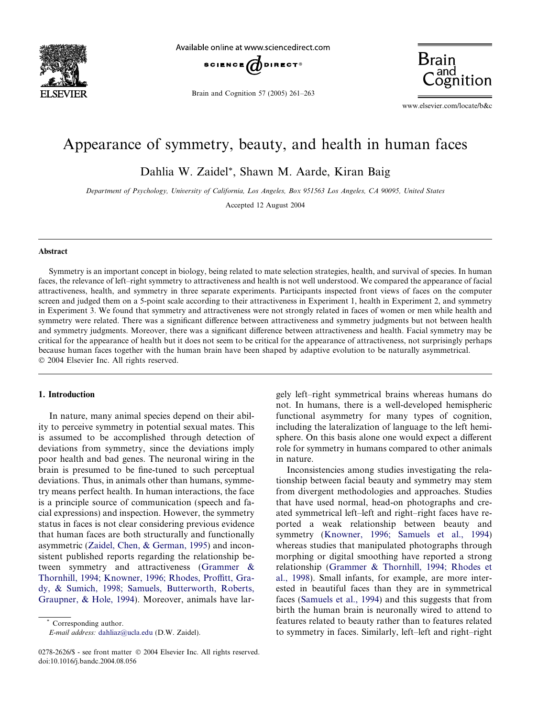

Available online at www.sciencedirect.com



Brain and Cognition 57 (2005) 261–263



www.elsevier.com/locate/b&c

# Appearance of symmetry, beauty, and health in human faces

Dahlia W. Zaidel\*, Shawn M. Aarde, Kiran Baig

Department of Psychology, University of California, Los Angeles, Box 951563 Los Angeles, CA 90095, United States

Accepted 12 August 2004

#### Abstract

Symmetry is an important concept in biology, being related to mate selection strategies, health, and survival of species. In human faces, the relevance of left–right symmetry to attractiveness and health is not well understood. We compared the appearance of facial attractiveness, health, and symmetry in three separate experiments. Participants inspected front views of faces on the computer screen and judged them on a 5-point scale according to their attractiveness in Experiment 1, health in Experiment 2, and symmetry in Experiment 3. We found that symmetry and attractiveness were not strongly related in faces of women or men while health and symmetry were related. There was a significant difference between attractiveness and symmetry judgments but not between health and symmetry judgments. Moreover, there was a significant difference between attractiveness and health. Facial symmetry may be critical for the appearance of health but it does not seem to be critical for the appearance of attractiveness, not surprisingly perhaps because human faces together with the human brain have been shaped by adaptive evolution to be naturally asymmetrical. 2004 Elsevier Inc. All rights reserved.

# 1. Introduction

In nature, many animal species depend on their ability to perceive symmetry in potential sexual mates. This is assumed to be accomplished through detection of deviations from symmetry, since the deviations imply poor health and bad genes. The neuronal wiring in the brain is presumed to be fine-tuned to such perceptual deviations. Thus, in animals other than humans, symmetry means perfect health. In human interactions, the face is a principle source of communication (speech and facial expressions) and inspection. However, the symmetry status in faces is not clear considering previous evidence that human faces are both structurally and functionally asymmetric ([Zaidel, Chen, & German, 1995\)](#page-2-0) and inconsistent published reports regarding the relationship between symmetry and attractiveness [\(Grammer &](#page-2-0) [Thornhill, 1994; Knowner, 1996; Rhodes, Proffitt, Gra](#page-2-0)[dy, & Sumich, 1998; Samuels, Butterworth, Roberts,](#page-2-0) [Graupner, & Hole, 1994\)](#page-2-0). Moreover, animals have lar-

Corresponding author.

E-mail address: [dahliaz@ucla.edu](mailto:dahliaz@ucla.edu ) (D.W. Zaidel).

gely left–right symmetrical brains whereas humans do not. In humans, there is a well-developed hemispheric functional asymmetry for many types of cognition, including the lateralization of language to the left hemisphere. On this basis alone one would expect a different role for symmetry in humans compared to other animals in nature.

Inconsistencies among studies investigating the relationship between facial beauty and symmetry may stem from divergent methodologies and approaches. Studies that have used normal, head-on photographs and created symmetrical left–left and right–right faces have reported a weak relationship between beauty and symmetry ([Knowner, 1996; Samuels et al., 1994](#page-2-0)) whereas studies that manipulated photographs through morphing or digital smoothing have reported a strong relationship [\(Grammer & Thornhill, 1994; Rhodes et](#page-2-0) [al., 1998\)](#page-2-0). Small infants, for example, are more interested in beautiful faces than they are in symmetrical faces [\(Samuels et al., 1994\)](#page-2-0) and this suggests that from birth the human brain is neuronally wired to attend to features related to beauty rather than to features related to symmetry in faces. Similarly, left–left and right–right

<sup>0278-2626/\$ -</sup> see front matter © 2004 Elsevier Inc. All rights reserved. doi:10.1016/j.bandc.2004.08.056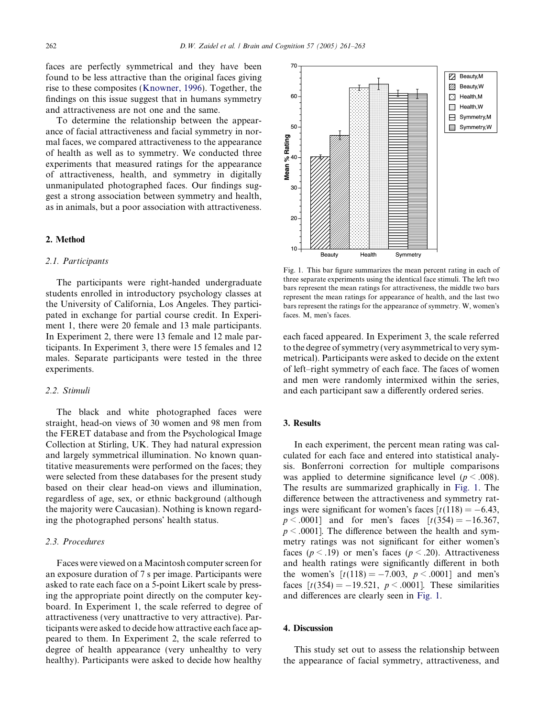faces are perfectly symmetrical and they have been found to be less attractive than the original faces giving rise to these composites ([Knowner, 1996](#page-2-0)). Together, the findings on this issue suggest that in humans symmetry and attractiveness are not one and the same.

To determine the relationship between the appearance of facial attractiveness and facial symmetry in normal faces, we compared attractiveness to the appearance of health as well as to symmetry. We conducted three experiments that measured ratings for the appearance of attractiveness, health, and symmetry in digitally unmanipulated photographed faces. Our findings suggest a strong association between symmetry and health, as in animals, but a poor association with attractiveness.

# 2. Method

# 2.1. Participants

The participants were right-handed undergraduate students enrolled in introductory psychology classes at the University of California, Los Angeles. They participated in exchange for partial course credit. In Experiment 1, there were 20 female and 13 male participants. In Experiment 2, there were 13 female and 12 male participants. In Experiment 3, there were 15 females and 12 males. Separate participants were tested in the three experiments.

# 2.2. Stimuli

The black and white photographed faces were straight, head-on views of 30 women and 98 men from the FERET database and from the Psychological Image Collection at Stirling, UK. They had natural expression and largely symmetrical illumination. No known quantitative measurements were performed on the faces; they were selected from these databases for the present study based on their clear head-on views and illumination, regardless of age, sex, or ethnic background (although the majority were Caucasian). Nothing is known regarding the photographed persons' health status.

#### 2.3. Procedures

Faces were viewed on aMacintosh computer screen for an exposure duration of 7 s per image. Participants were asked to rate each face on a 5-point Likert scale by pressing the appropriate point directly on the computer keyboard. In Experiment 1, the scale referred to degree of attractiveness (very unattractive to very attractive). Participants were asked to decide how attractive each face appeared to them. In Experiment 2, the scale referred to degree of health appearance (very unhealthy to very healthy). Participants were asked to decide how healthy



Fig. 1. This bar figure summarizes the mean percent rating in each of three separate experiments using the identical face stimuli. The left two bars represent the mean ratings for attractiveness, the middle two bars represent the mean ratings for appearance of health, and the last two bars represent the ratings for the appearance of symmetry. W, women's faces. M, men's faces.

each faced appeared. In Experiment 3, the scale referred to the degree of symmetry (very asymmetrical to very symmetrical). Participants were asked to decide on the extent of left–right symmetry of each face. The faces of women and men were randomly intermixed within the series, and each participant saw a differently ordered series.

## 3. Results

In each experiment, the percent mean rating was calculated for each face and entered into statistical analysis. Bonferroni correction for multiple comparisons was applied to determine significance level ( $p < .008$ ). The results are summarized graphically in Fig. 1. The difference between the attractiveness and symmetry ratings were significant for women's faces  $\lceil t(118) = -6.43$ ,  $p < .0001$ ] and for men's faces  $[t(354) = -16.367]$ ,  $p < .0001$ ]. The difference between the health and symmetry ratings was not significant for either women's faces ( $p < .19$ ) or men's faces ( $p < .20$ ). Attractiveness and health ratings were significantly different in both the women's  $[t(118) = -7.003, p < .0001]$  and men's faces  $[t(354) = -19.521, p < .0001]$ . These similarities and differences are clearly seen in Fig. 1.

### 4. Discussion

This study set out to assess the relationship between the appearance of facial symmetry, attractiveness, and